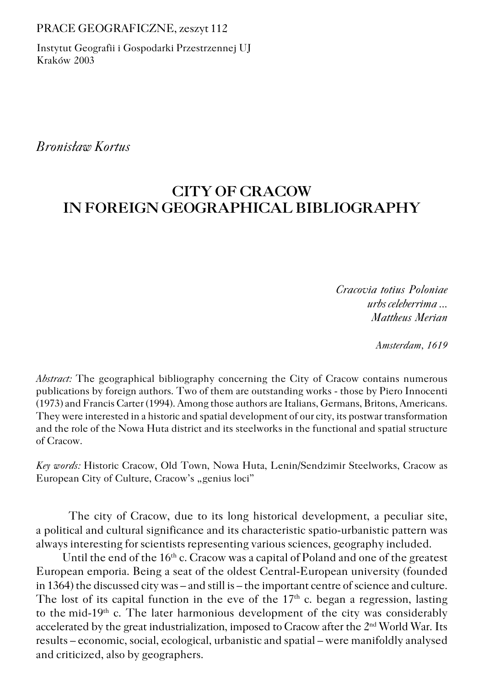#### PRACE GEOGRAFICZNE, zeszyt 112

Instytut Geografii i Gospodarki Przestrzennej UJ Kraków 2003

*Bronisław Kortus*

# **CITY OF CRACOW IN FOREIGN GEOGRAPHICAL BIBLIOGRAPHY**

*Cracovia totius Poloniae urbs celeberrima ... Mattheus Merian*

*Amsterdam, 1619*

*Abstract:* The geographical bibliography concerning the City of Cracow contains numerous publications by foreign authors. Two of them are outstanding works − those by Piero Innocenti (1973) and Francis Carter (1994). Among those authors are Italians, Germans, Britons, Americans. They were interested in a historic and spatial development of our city, its postwar transformation and the role of the Nowa Huta district and its steelworks in the functional and spatial structure of Cracow.

*Key words:* Historic Cracow, Old Town, Nowa Huta, Lenin/Sendzimir Steelworks, Cracow as European City of Culture, Cracow's "genius loci"

The city of Cracow, due to its long historical development, a peculiar site, apolitical and cultural significance and its characteristic spatio−urbanistic pattern was always interesting for scientists representing various sciences, geography included.

Until the end of the  $16<sup>th</sup>$  c. Cracow was a capital of Poland and one of the greatest European emporia. Being a seat of the oldest Central−European university (founded in 1364) the discussed city was – and still is – the important centre of science and culture. The lost of its capital function in the eve of the  $17<sup>th</sup>$  c. began a regression, lasting to themid−19th c. The later harmonious development of the city was considerably accelerated by the great industrialization, imposed to Cracow after the 2nd World War. Its results – economic, social, ecological, urbanistic and spatial – were manifoldly analysed and criticized, also by geographers.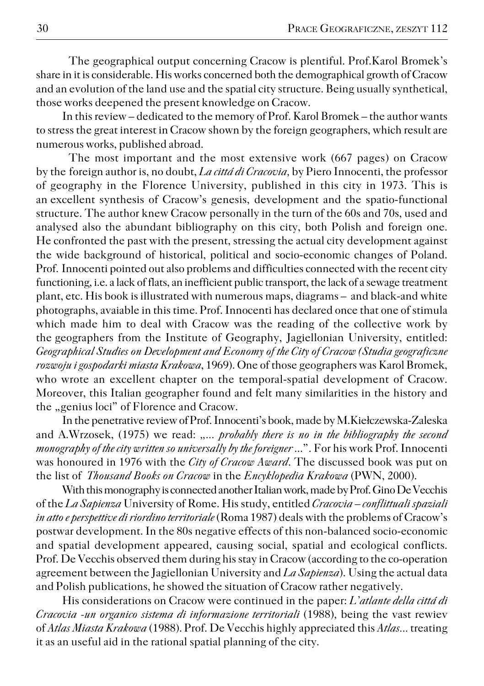The geographical output concerning Cracow is plentiful. Prof.Karol Bromek's share in it is considerable. His works concerned both the demographical growth of Cracow and an evolution of the land use and the spatial city structure. Being usually synthetical, those works deepened the present knowledge on Cracow.

In this review – dedicated to the memory of Prof. Karol Bromek – the author wants to stress the great interest in Cracow shown by the foreign geographers, which result are numerous works, published abroad.

The most important and the most extensive work (667 pages) on Cracow by the foreign author is, no doubt, *La cittá di Cracovia*, by Piero Innocenti, the professor of geography in the Florence University, published in this city in 1973. This is anexcellent synthesis of Cracow's genesis, development and the spatio−functional structure. The author knew Cracow personally in the turn of the 60s and 70s, used and analysed also the abundant bibliography on this city, both Polish and foreign one. He confronted the past with the present, stressing the actual city development against the wide background of historical, political and socio−economic changes of Poland. Prof. Innocenti pointed out also problems and difficulties connected with the recent city functioning, i.e. a lack of flats, an inefficient public transport, the lack of a sewage treatment plant, etc. His book is illustrated with numerous maps, diagrams – and black−and white photographs, avaiable in this time. Prof. Innocenti has declared once that one of stimula which made him to deal with Cracow was the reading of the collective work by thegeographers from the Institute of Geography, Jagiellonian University, entitled: *Geographical Studies on Development and Economy of the City of Cracow (Studia geograficzne rozwoju i gospodarki miasta Krakowa*, 1969). One of those geographers was Karol Bromek, who wrote an excellent chapter on the temporal−spatial development of Cracow. Moreover, this Italian geographer found and felt many similarities in the history and the "genius loci" of Florence and Cracow.

In the penetrative review of Prof. Innocenti's book, made by M.Kiełczewska−Zaleska and A.Wrzosek, (1975) we read: ,,... *probably there is no in the bibliography the second monography of the city written so universally by the foreigner* ...". For his work Prof. Innocenti was honoured in 1976 with the *City of Cracow Award*. The discussed book was put on the list of *Thousand Books on Cracow* in the *Encyklopedia Krakowa* (PWN, 2000).

With this monography is connected another Italian work, made by Prof. Gino De Vecchis of the *La Sapienza* University of Rome. His study, entitled *Cracovia – conflittuali spaziali in atto e perspettive di riordino territoriale* (Roma 1987) deals with the problems of Cracow's postwar development. In the 80s negative effects of this non−balanced socio−economic and spatial development appeared, causing social, spatial and ecological conflicts. Prof. De Vecchis observed them during his stay in Cracow (according to the co−operation agreement between the Jagiellonian University and *La Sapienza*). Using the actual data and Polish publications, he showed the situation of Cracow rather negatively.

His considerations on Cracow were continued in the paper: *L'atlante della cittá di Cracovia −un organico sistema di informazione territoriali* (1988)*,* being the vast rewiev of *Atlas Miasta Krakowa* (1988). Prof. De Vecchis highly appreciated this *Atlas...* treating it as an useful aid in the rational spatial planning of the city.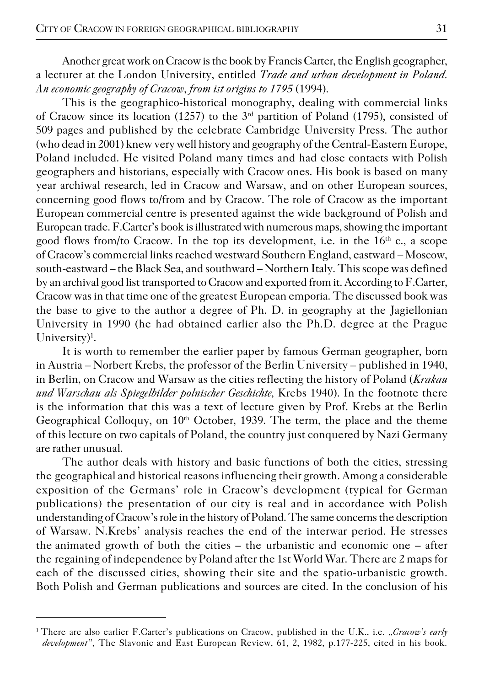Another great work on Cracow is the book by Francis Carter, the English geographer, a lecturer at the London University, entitled *Trade and urban development in Poland. An economic geography of Cracow, from ist origins to 1795* (1994).

This is the geographico−historical monography, dealing with commercial links of Cracow since its location (1257) to the  $3<sup>rd</sup>$  partition of Poland (1795), consisted of 509 pages and published by the celebrate Cambridge University Press. The author (who dead in 2001) knew very well history and geography of the Central−Eastern Europe, Poland included. He visited Poland many times and had close contacts with Polish geographers and historians, especially with Cracow ones. His book is based on many year archiwal research, led in Cracow and Warsaw, and on other European sources, concerning good flows to/from and by Cracow. The role of Cracow as the important European commercial centre is presented against the wide background of Polish and European trade. F.Carter's book is illustrated with numerous maps, showing the important good flows from/to Cracow. In the top its development, i.e. in the  $16<sup>th</sup>$  c., a scope of Cracow's commercial links reached westward Southern England, eastward – Moscow, south−eastward – the Black Sea, and southward – Northern Italy. This scope was defined by an archival good list transported to Cracow and exported from it. According to F.Carter, Cracow was in that time one of the greatest European emporia. The discussed book was the base to give to the author a degree of Ph. D. in geography at the Jagiellonian University in 1990 (he had obtained earlier also the Ph.D. degree at the Prague University)<sup>1</sup>.

It is worth to remember the earlier paper by famous German geographer, born in Austria – Norbert Krebs, the professor of the Berlin University – published in 1940, in Berlin, on Cracow and Warsaw as the cities reflecting the history of Poland (*Krakau und Warschau als Spiegelbilder polnischer Geschichte,* Krebs 1940). In the footnote there is the information that this was a text of lecture given by Prof. Krebs at the Berlin Geographical Colloquy, on 10<sup>th</sup> October, 1939. The term, the place and the theme of this lecture on two capitals of Poland, the country just conquered by Nazi Germany are rather unusual.

The author deals with history and basic functions of both the cities, stressing the geographical and historical reasons influencing their growth. Among a considerable exposition of the Germans' role in Cracow's development (typical for German publications) the presentation of our city is real and in accordance with Polish understanding of Cracow's role in the history of Poland. The same concerns the description of Warsaw. N.Krebs' analysis reaches the end of the interwar period. He stresses the animated growth of both the cities  $-$  the urbanistic and economic one  $-$  after the regaining of independence by Poland after the 1st World War. There are 2 maps for each of the discussed cities, showing their site and the spatio−urbanistic growth. Both Polish and German publications and sources are cited. In the conclusion of his

<sup>&</sup>lt;sup>1</sup> There are also earlier F.Carter's publications on Cracow, published in the U.K., i.e. "*Cracow's early development",* The Slavonic and East European Review, 61, 2, 1982, p.177−225, cited in his book.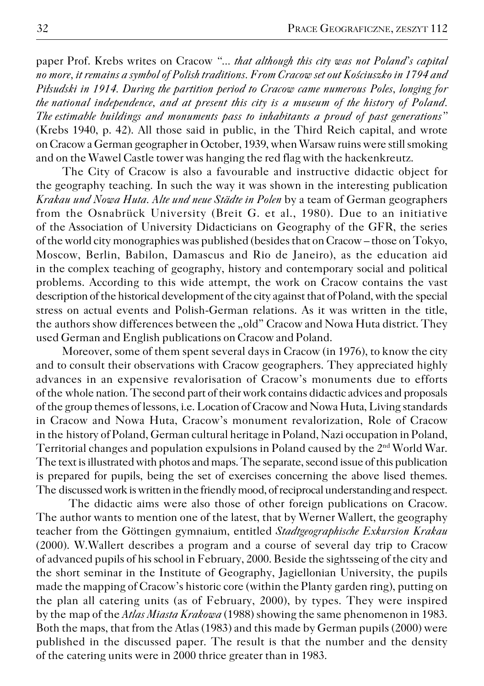paper Prof. Krebs writes on Cracow *"... that although this city was not Poland's capital no more, it remains a symbol of Polish traditions. From Cracow set out Kościuszko in 1794 and Piłsudski in 1914. During the partition period to Cracow came numerous Poles, longing for* the national independence, and at present this city is a museum of the history of Poland. *The estimable buildings and monuments pass to inhabitants a proud of past generations*" (Krebs 1940, p. 42). All those said in public, in the Third Reich capital, and wrote on Cracow a German geographer in October, 1939, when Warsaw ruins were still smoking and on the Wawel Castle tower was hanging the red flag with the hackenkreutz.

The City of Cracow is also a favourable and instructive didactic object for thegeography teaching. In such the way it was shown in the interesting publication *Krakau und Nowa Huta. Alte und neue Städte in Polen* by a team of German geographers from the Osnabrück University (Breit G. et al., 1980). Due to an initiative of theAssociation of University Didacticians on Geography of the GFR, the series of the world city monographies was published (besides that on Cracow – those on Tokyo, Moscow, Berlin, Babilon, Damascus and Rio de Janeiro), as the education aid in the complex teaching of geography, history and contemporary social and political problems. According to this wide attempt, the work on Cracow contains the vast description of the historical development of the city against that of Poland, with the special stress on actual events and Polish−German relations. As it was written in the title, the authors show differences between the "old" Cracow and Nowa Huta district. They used German and English publications on Cracow and Poland.

Moreover, some of them spent several days in Cracow (in 1976), to know the city and to consult their observations with Cracow geographers. They appreciated highly advances in an expensive revalorisation of Cracow's monuments due to efforts of thewhole nation. The second part of their work contains didactic advices and proposals of the group themes of lessons, i.e. Location of Cracow and Nowa Huta, Living standards in Cracow and Nowa Huta, Cracow's monument revalorization, Role of Cracow in the history of Poland, German cultural heritage in Poland, Nazi occupation in Poland, Territorial changes and population expulsions in Poland caused by the 2nd World War. The text is illustrated with photos and maps. The separate, second issue of this publication is prepared for pupils, being the set of exercises concerning the above lised themes. The discussed work is written in the friendly mood, of reciprocal understanding and respect.

The didactic aims were also those of other foreign publications on Cracow. The author wants to mention one of the latest, that by Werner Wallert, the geography teacher from the Göttingen gymnaium, entitled *Stadtgeographische Exkursion Krakau* (2000). W.Wallert describes a program and a course of several day trip to Cracow of advanced pupils of his school in February, 2000. Beside the sightsseing of the city and the short seminar in the Institute of Geography, Jagiellonian University, the pupils made the mapping of Cracow's historic core (within the Planty garden ring), putting on the plan all catering units (as of February, 2000), by types. They were inspired by themap of the *Atlas Miasta Krakowa* (1988) showing the same phenomenon in 1983. Both the maps, that from the Atlas (1983) and this made by German pupils (2000) were published in the discussed paper. The result is that the number and the density of thecatering units were in 2000 thrice greater than in 1983.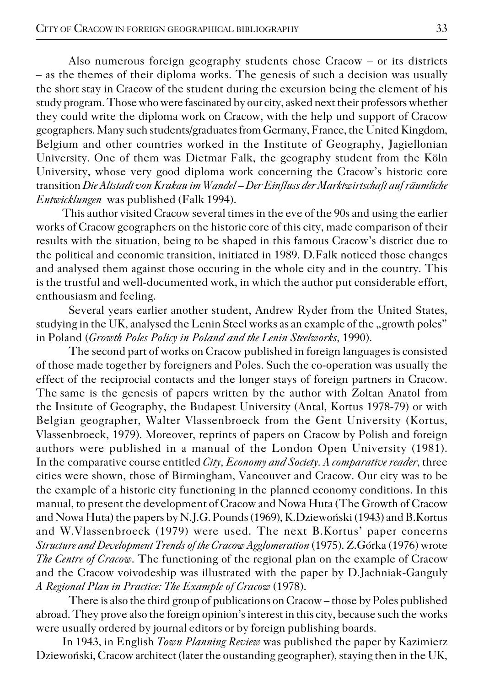Also numerous foreign geography students chose Cracow – or its districts  $-$  as the themes of their diploma works. The genesis of such a decision was usually the short stay in Cracow of the student during the excursion being the element of his study program. Those who were fascinated by our city, asked next their professors whether they could write the diploma work on Cracow, with the help und support of Cracow geographers. Many such students/graduates from Germany, France, the United Kingdom, Belgium and other countries worked in the Institute of Geography, Jagiellonian University. One of them was Dietmar Falk, the geography student from the Köln University, whose very good diploma work concerning the Cracow's historic core transition *Die Altstadt von Krakau im Wandel – Der Einfluss der Marktwirtschaft auf räumliche Entwicklungen* was published (Falk 1994).

This author visited Cracow several times in the eve of the 90s and using the earlier works of Cracow geographers on the historic core of this city, made comparison of their results with the situation, being to be shaped in this famous Cracow's district due to the political and economic transition, initiated in 1989. D.Falk noticed those changes and analysed them against those occuring in the whole city and in the country. This is the trustful and well−documented work, in which the author put considerable effort, enthousiasm and feeling.

Several years earlier another student, Andrew Ryder from the United States, studying in the UK, analysed the Lenin Steel works as an example of the "growth poles" in Poland (*Growth Poles Policy in Poland and the Lenin Steelworks,* 1990).

The second part of works on Cracow published in foreign languages is consisted of those made together by foreigners and Poles. Such the co−operation was usually the effect of the reciprocial contacts and the longer stays of foreign partners in Cracow. The same is the genesis of papers written by the author with Zoltan Anatol from the Insitute of Geography, the Budapest University (Antal, Kortus 1978-79) or with Belgian geographer, Walter Vlassenbroeck from the Gent University (Kortus, Vlassenbroeck, 1979). Moreover, reprints of papers on Cracow by Polish and foreign authors were published in a manual of the London Open University (1981). In the comparative course entitled *City, Economy and Society. A comparative reader*, three cities were shown, those of Birmingham, Vancouver and Cracow. Our city was to be the example of a historic city functioning in the planned economy conditions. In this manual, to present the development of Cracow and Nowa Huta (The Growth of Cracow and Nowa Huta) the papers by N.J.G. Pounds (1969), K.Dziewoński (1943) and B.Kortus and W.Vlassenbroeck (1979) were used. The next B.Kortus' paper concerns *Structure and Development Trends of the Cracow Agglomeration* (1975). Z.Górka (1976) wrote *The Centre of Cracow*. The functioning of the regional plan on the example of Cracow and the Cracow voivodeship was illustrated with the paper by D.Jachniak−Ganguly *A Regional Plan in Practice: The Example of Cracow* (1978).

There is also the third group of publications on Cracow – those by Poles published abroad. They prove also the foreign opinion's interest in this city, because such the works were usually ordered by journal editors or by foreign publishing boards.

In 1943, in English *Town Planning Review* was published the paper by Kazimierz Dziewoński, Cracow architect (later the oustanding geographer), staying then in the UK,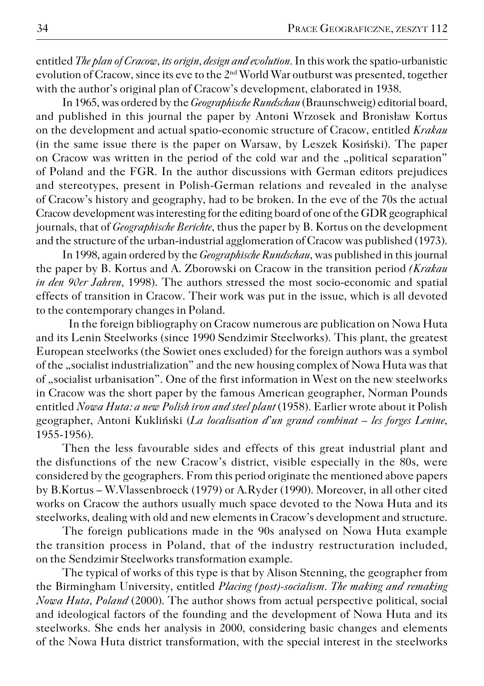entitled *The plan of Cracow, its origin, design and evolution.* In this work the spatio−urbanistic evolution of Cracow, since its eve to the 2nd World War outburst was presented, together with the author's original plan of Cracow's development, elaborated in 1938.

In 1965, was ordered by the *Geographische Rundschau* (Braunschweig) editorial board, and published in this journal the paper by Antoni Wrzosek and Bronisław Kortus on thedevelopment and actual spatio−economic structure of Cracow, entitled *Krakau* (in the same issue there is the paper on Warsaw, by Leszek Kosiński). The paper on Cracow was written in the period of the cold war and the "political separation" of Poland and the FGR. In the author discussions with German editors prejudices and stereotypes, present in Polish−German relations and revealed in the analyse of Cracow's history and geography, had to be broken. In the eve of the 70s the actual Cracow development was interesting for the editing board of one of the GDR geographical journals, that of *Geographische Berichte*, thus the paper by B. Kortus on the development and the structure of the urban−industrial agglomeration of Cracow was published (1973).

In 1998, again ordered by the *Geographische Rundschau*, was published in this journal the paper by B. Kortus and A. Zborowski on Cracow in the transition period *(Krakau in den 90er Jahren,* 1998). The authors stressed the most socio−economic and spatial effects of transition in Cracow. Their work was put in the issue, which is all devoted to the contemporary changes in Poland.

In the foreign bibliography on Cracow numerous are publication on Nowa Huta and its Lenin Steelworks (since 1990 Sendzimir Steelworks). This plant, the greatest European steelworks (the Sowiet ones excluded) for the foreign authors was a symbol of the "socialist industrialization" and the new housing complex of Nowa Huta was that of "socialist urbanisation". One of the first information in West on the new steelworks in Cracow was the short paper by the famous American geographer, Norman Pounds entitled *Nowa Huta: a new Polish iron and steel plant* (1958). Earlier wrote about it Polish geographer, Antoni Kukliński (*La localisation d'un grand combinat – les forges Lenine*, 1955−1956).

Then the less favourable sides and effects of this great industrial plant and the disfunctions of the new Cracow's district, visible especially in the 80s, were considered by the geographers. From this period originate the mentioned above papers by B.Kortus – W.Vlassenbroeck (1979) or A.Ryder (1990). Moreover, in all other cited works on Cracow the authors usually much space devoted to the Nowa Huta and its steelworks, dealing with old and new elements in Cracow's development and structure.

The foreign publications made in the 90s analysed on Nowa Huta example the transition process in Poland, that of the industry restructuration included, on the Sendzimir Steelworks transformation example.

The typical of works of this type is that by Alison Stenning, the geographer from the Birmingham University, entitled *Placing (post)−socialism. The making and remaking Nowa Huta, Poland* (2000). The author shows from actual perspective political, social and ideological factors of the founding and the development of Nowa Huta and its steelworks. She ends her analysis in 2000, considering basic changes and elements of the Nowa Huta district transformation, with the special interest in the steelworks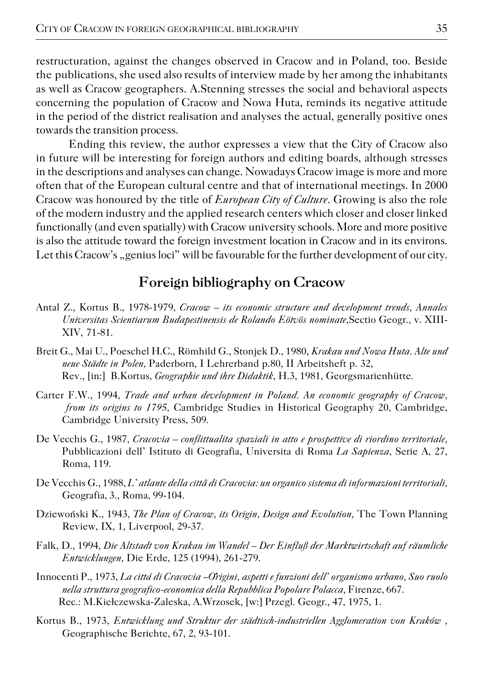restructuration, against the changes observed in Cracow and in Poland, too. Beside the publications, she used also results of interview made by her among the inhabitants as well as Cracow geographers. A.Stenning stresses the social and behavioral aspects concerning the population of Cracow and Nowa Huta, reminds its negative attitude in the period of the district realisation and analyses the actual, generally positive ones towards the transition process.

Ending this review, the author expresses a view that the City of Cracow also in future will be interesting for foreign authors and editing boards, although stresses in the descriptions and analyses can change. Nowadays Cracow image is more and more often that of the European cultural centre and that of international meetings. In 2000 Cracow was honoured by the title of *European City of Culture*. Growing is also the role of the modern industry and the applied research centers which closer and closer linked functionally (and even spatially) with Cracow university schools. More and more positive is also the attitude toward the foreign investment location in Cracow and in its environs. Let this Cracow's "genius loci" will be favourable for the further development of our city.

# **Foreign bibliography on Cracow**

- Antal Z., Kortus B., 1978−1979, *Cracow its economic structure and development trends, Annales Universitas Scientiarum Budapestinensis de Rolando Eötvös nominate*,Sectio Geogr., v. XIII− XIV, 71−81.
- Breit G., Mai U., Poeschel H.C., Römhild G., Stonjek D., 1980, *Krakau und Nowa Huta. Alte und neue Städte in Polen,* Paderborn, I Lehrerband p.80, II Arbeitsheft p. 32, Rev., [in:] B.Kortus, *Geographie und ihre Didaktik*, H.3, 1981, Georgsmarienhütte.
- Carter F.W., 1994, *Trade and urban development in Poland. An economic geography of Cracow, from its origins to 1795,* Cambridge Studies in Historical Geography 20, Cambridge, Cambridge University Press, 509.
- De Vecchis G., 1987, *Cracovia conflittualita spaziali in atto e prospettive di riordino territoriale,* Pubblicazioni dell' Istituto di Geografia, Universita di Roma *La Sapienza*, Serie A, 27, Roma, 119.
- De Vecchis G., 1988, *L' atlante della cittâ di Cracovia: un organico sistema di informazioni territoriali,* Geografia, 3., Roma, 99−104.
- Dziewoński K., 1943, *The Plan of Cracow, its Origin, Design and Evolution,* The Town Planning Review, IX, 1, Liverpool, 29−37.
- Falk, D., 1994, *Die Altstadt von Krakau im Wandel Der Einfluß der Marktwirtschaft auf räumliche Entwicklungen,* Die Erde, 125 (1994), 261−279.
- Innocenti P., 1973, *La cittá di Cracovia –Origini, aspetti e funzioni dell' organismo urbano, Suo ruolo* ,*nella struttura geografico−economica della Repubblica Popolare Polacca*, Firenze, 667. Rec.: M.Kiełczewska−Zaleska, A.Wrzosek, [w:] Przegl. Geogr., 47, 1975, 1.
- Kortus B., 1973, *Entwicklung und Struktur der städtisch−industriellen Agglomeration von Kraków ,* Geographische Berichte, 67, 2, 93−101.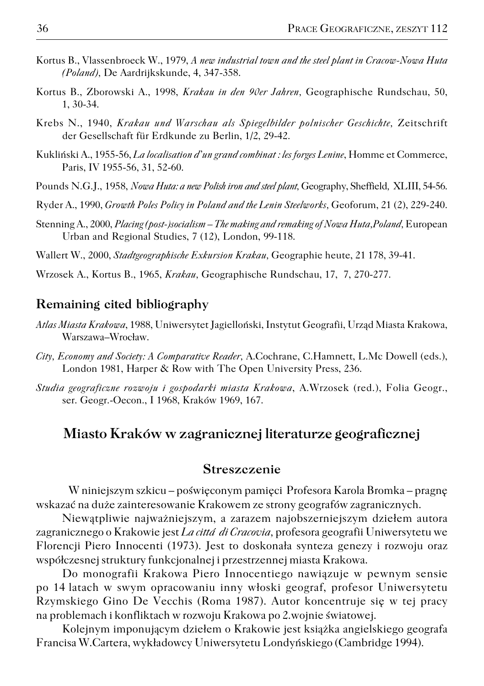- Kortus B., Vlassenbroeck W., 1979, *A new industrial town and the steel plant in Cracow−Nowa Huta (Poland),* De Aardrijkskunde, 4, 347−358.
- Kortus B., Zborowski A., 1998, *Krakau in den 90er Jahren,* Geographische Rundschau, 50, 1, 30−34.
- Krebs N., 1940, *Krakau und Warschau als Spiegelbilder polnischer Geschichte,* Zeitschrift der Gesellschaft für Erdkunde zu Berlin, 1/2, 29−42.
- Kukliński A., 1955−56, *La localisation d'un grand combinat : les forges Lenine*, Homme et Commerce, Paris, IV 1955−56, 31, 52−60.
- Pounds N.G.J., 1958, *Nowa Huta: a new Polish iron and steel plant,* Geography, Sheffield*,* XLIII, 54−56.
- Ryder A., 1990, *Growth Poles Policy in Poland and the Lenin Steelworks,* Geoforum, 21 (2), 229−240.
- Stenning A., 2000, *Placing (post−)socialism The making and remaking of Nowa Huta,Poland,* European Urban and Regional Studies, 7 (12), London, 99−118.
- Wallert W., 2000, *Stadtgeographische Exkursion Krakau,* Geographie heute, 21 178, 39−41.
- Wrzosek A., Kortus B., 1965, *Krakau,* Geographische Rundschau, 17, 7, 270−277.

### **Remaining cited bibliography**

- *Atlas Miasta Krakowa*, 1988, Uniwersytet Jagielloński, Instytut Geografii, Urząd Miasta Krakowa, Warszawa–Wrocław.
- *City, Economy and Society: A Comparative Reader,* A.Cochrane, C.Hamnett, L.Mc Dowell (eds.), London 1981, Harper & Row with The Open University Press, 236.
- *Studia geograficzne rozwoju i gospodarki miasta Krakowa*, A.Wrzosek (red.), Folia Geogr., ser. Geogr.−Oecon., I 1968, Kraków 1969, 167.

## **Miasto Kraków w zagranicznej literaturze geograficznej**

#### **Streszczenie**

W niniejszym szkicu – poświęconym pamięci Profesora Karola Bromka – pragnę wskazać na duże zainteresowanie Krakowem ze strony geografów zagranicznych.

Niewątpliwie najważniejszym, a zarazem najobszerniejszym dziełem autora zagranicznego o Krakowie jest *La cittá di Cracovia,* profesora geografii Uniwersytetu we Florencji Piero Innocenti (1973). Jest to doskonała synteza genezy i rozwoju oraz współczesnej struktury funkcjonalnej i przestrzennej miasta Krakowa.

Do monografii Krakowa Piero Innocentiego nawiązuje w pewnym sensie po 14latach w swym opracowaniu inny włoski geograf, profesor Uniwersytetu Rzymskiego Gino De Vecchis (Roma 1987). Autor koncentruje się w tej pracy na problemach i konfliktach w rozwoju Krakowa po 2.wojnie światowej.

Kolejnym imponującym dziełem o Krakowie jest książka angielskiego geografa Francisa W.Cartera, wykładowcy Uniwersytetu Londyńskiego (Cambridge 1994).